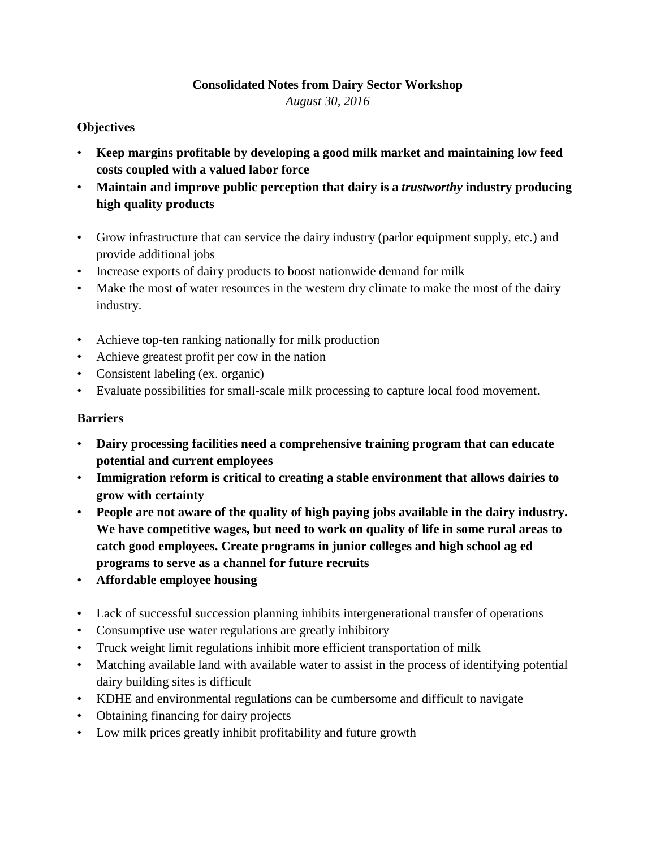## **Consolidated Notes from Dairy Sector Workshop** *August 30, 2016*

## **Objectives**

- **Keep margins profitable by developing a good milk market and maintaining low feed costs coupled with a valued labor force**
- **Maintain and improve public perception that dairy is a** *trustworthy* **industry producing high quality products**
- Grow infrastructure that can service the dairy industry (parlor equipment supply, etc.) and provide additional jobs
- Increase exports of dairy products to boost nationwide demand for milk
- Make the most of water resources in the western dry climate to make the most of the dairy industry.
- Achieve top-ten ranking nationally for milk production
- Achieve greatest profit per cow in the nation
- Consistent labeling (ex. organic)
- Evaluate possibilities for small-scale milk processing to capture local food movement.

## **Barriers**

- **Dairy processing facilities need a comprehensive training program that can educate potential and current employees**
- **Immigration reform is critical to creating a stable environment that allows dairies to grow with certainty**
- **People are not aware of the quality of high paying jobs available in the dairy industry. We have competitive wages, but need to work on quality of life in some rural areas to catch good employees. Create programs in junior colleges and high school ag ed programs to serve as a channel for future recruits**
- **Affordable employee housing**
- Lack of successful succession planning inhibits intergenerational transfer of operations
- Consumptive use water regulations are greatly inhibitory
- Truck weight limit regulations inhibit more efficient transportation of milk
- Matching available land with available water to assist in the process of identifying potential dairy building sites is difficult
- KDHE and environmental regulations can be cumbersome and difficult to navigate
- Obtaining financing for dairy projects
- Low milk prices greatly inhibit profitability and future growth